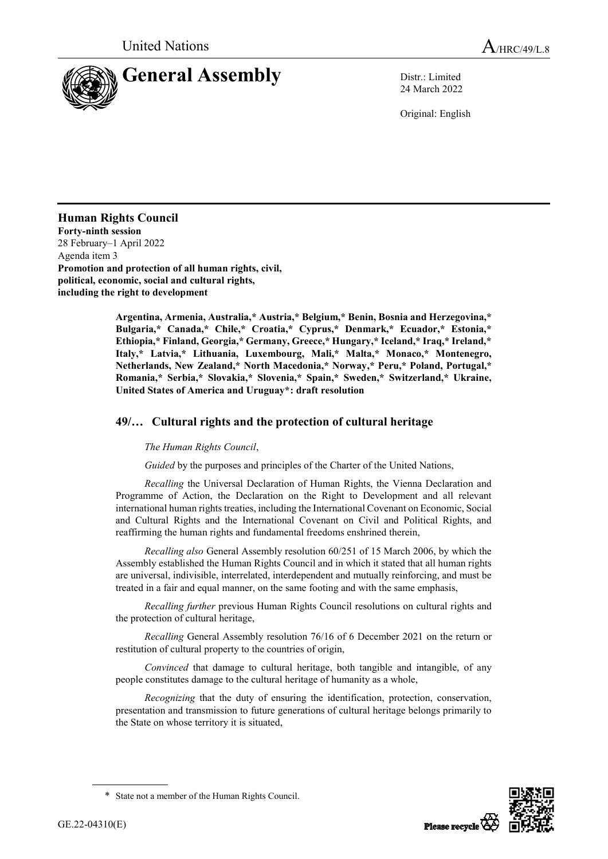

24 March 2022

Original: English

## **Human Rights Council**

**Forty-ninth session** 28 February–1 April 2022 Agenda item 3 **Promotion and protection of all human rights, civil, political, economic, social and cultural rights, including the right to development**

> **Argentina, Armenia, Australia,\* Austria,\* Belgium,\* Benin, Bosnia and Herzegovina,\* Bulgaria,\* Canada,\* Chile,\* Croatia,\* Cyprus,\* Denmark,\* Ecuador,\* Estonia,\* Ethiopia,\* Finland, Georgia,\* Germany, Greece,\* Hungary,\* Iceland,\* Iraq,\* Ireland,\* Italy,\* Latvia,\* Lithuania, Luxembourg, Mali,\* Malta,\* Monaco,\* Montenegro, Netherlands, New Zealand,\* North Macedonia,\* Norway,\* Peru,\* Poland, Portugal,\* Romania,\* Serbia,\* Slovakia,\* Slovenia,\* Spain,\* Sweden,\* Switzerland,\* Ukraine, United States of America and Uruguay\*: draft resolution**

## **49/… Cultural rights and the protection of cultural heritage**

## *The Human Rights Council*,

*Guided* by the purposes and principles of the Charter of the United Nations,

*Recalling* the Universal Declaration of Human Rights, the Vienna Declaration and Programme of Action, the Declaration on the Right to Development and all relevant international human rights treaties, including the International Covenant on Economic, Social and Cultural Rights and the International Covenant on Civil and Political Rights, and reaffirming the human rights and fundamental freedoms enshrined therein,

*Recalling also* General Assembly resolution 60/251 of 15 March 2006, by which the Assembly established the Human Rights Council and in which it stated that all human rights are universal, indivisible, interrelated, interdependent and mutually reinforcing, and must be treated in a fair and equal manner, on the same footing and with the same emphasis,

*Recalling further* previous Human Rights Council resolutions on cultural rights and the protection of cultural heritage,

*Recalling* General Assembly resolution 76/16 of 6 December 2021 on the return or restitution of cultural property to the countries of origin,

*Convinced* that damage to cultural heritage, both tangible and intangible, of any people constitutes damage to the cultural heritage of humanity as a whole,

*Recognizing* that the duty of ensuring the identification, protection, conservation, presentation and transmission to future generations of cultural heritage belongs primarily to the State on whose territory it is situated,



<sup>\*</sup> State not a member of the Human Rights Council.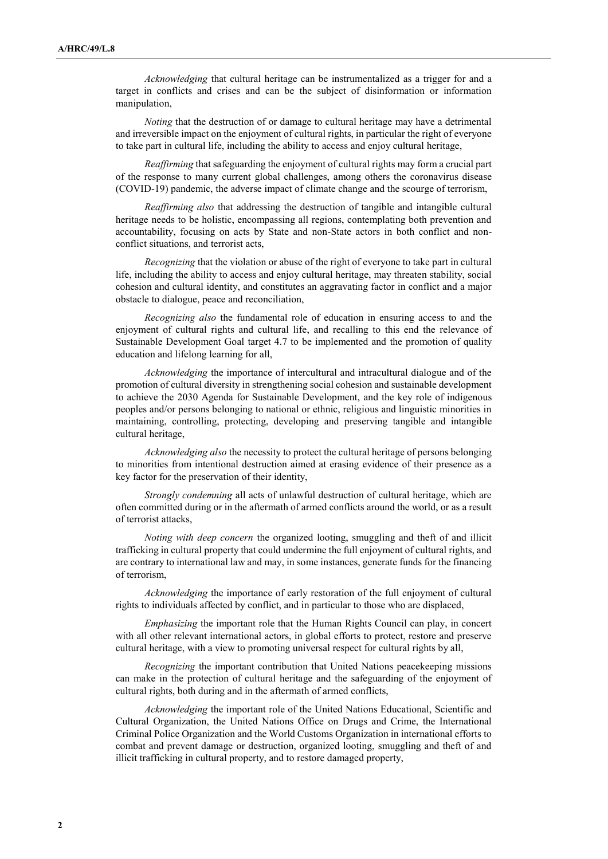*Acknowledging* that cultural heritage can be instrumentalized as a trigger for and a target in conflicts and crises and can be the subject of disinformation or information manipulation,

*Noting* that the destruction of or damage to cultural heritage may have a detrimental and irreversible impact on the enjoyment of cultural rights, in particular the right of everyone to take part in cultural life, including the ability to access and enjoy cultural heritage,

*Reaffirming* that safeguarding the enjoyment of cultural rights may form a crucial part of the response to many current global challenges, among others the coronavirus disease (COVID-19) pandemic, the adverse impact of climate change and the scourge of terrorism,

*Reaffirming also* that addressing the destruction of tangible and intangible cultural heritage needs to be holistic, encompassing all regions, contemplating both prevention and accountability, focusing on acts by State and non-State actors in both conflict and nonconflict situations, and terrorist acts,

*Recognizing* that the violation or abuse of the right of everyone to take part in cultural life, including the ability to access and enjoy cultural heritage, may threaten stability, social cohesion and cultural identity, and constitutes an aggravating factor in conflict and a major obstacle to dialogue, peace and reconciliation,

*Recognizing also* the fundamental role of education in ensuring access to and the enjoyment of cultural rights and cultural life, and recalling to this end the relevance of Sustainable Development Goal target 4.7 to be implemented and the promotion of quality education and lifelong learning for all,

*Acknowledging* the importance of intercultural and intracultural dialogue and of the promotion of cultural diversity in strengthening social cohesion and sustainable development to achieve the 2030 Agenda for Sustainable Development, and the key role of indigenous peoples and/or persons belonging to national or ethnic, religious and linguistic minorities in maintaining, controlling, protecting, developing and preserving tangible and intangible cultural heritage,

*Acknowledging also* the necessity to protect the cultural heritage of persons belonging to minorities from intentional destruction aimed at erasing evidence of their presence as a key factor for the preservation of their identity,

*Strongly condemning* all acts of unlawful destruction of cultural heritage, which are often committed during or in the aftermath of armed conflicts around the world, or as a result of terrorist attacks,

*Noting with deep concern* the organized looting, smuggling and theft of and illicit trafficking in cultural property that could undermine the full enjoyment of cultural rights, and are contrary to international law and may, in some instances, generate funds for the financing of terrorism,

*Acknowledging* the importance of early restoration of the full enjoyment of cultural rights to individuals affected by conflict, and in particular to those who are displaced,

*Emphasizing* the important role that the Human Rights Council can play, in concert with all other relevant international actors, in global efforts to protect, restore and preserve cultural heritage, with a view to promoting universal respect for cultural rights by all,

*Recognizing* the important contribution that United Nations peacekeeping missions can make in the protection of cultural heritage and the safeguarding of the enjoyment of cultural rights, both during and in the aftermath of armed conflicts,

*Acknowledging* the important role of the United Nations Educational, Scientific and Cultural Organization, the United Nations Office on Drugs and Crime, the International Criminal Police Organization and the World Customs Organization in international efforts to combat and prevent damage or destruction, organized looting, smuggling and theft of and illicit trafficking in cultural property, and to restore damaged property,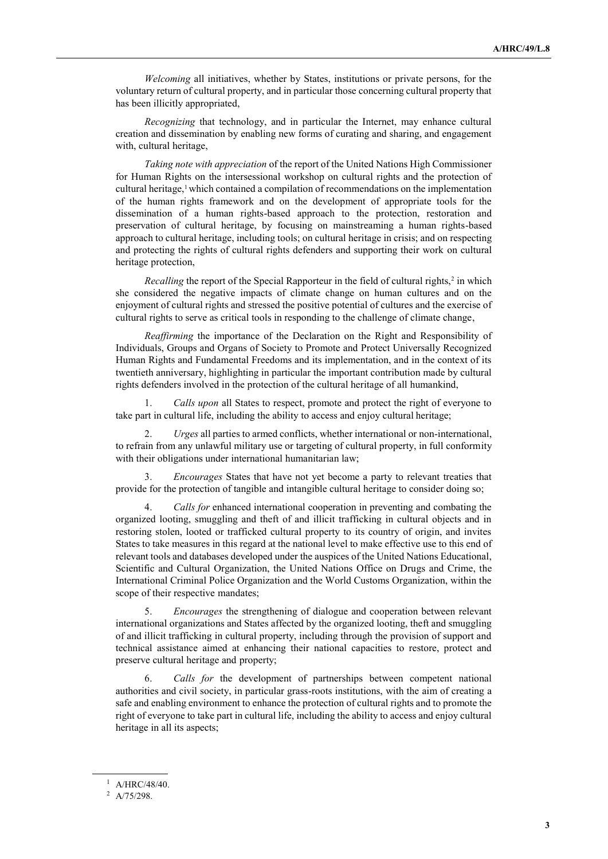*Welcoming* all initiatives, whether by States, institutions or private persons, for the voluntary return of cultural property, and in particular those concerning cultural property that has been illicitly appropriated,

*Recognizing* that technology, and in particular the Internet, may enhance cultural creation and dissemination by enabling new forms of curating and sharing, and engagement with, cultural heritage,

*Taking note with appreciation* of the report of the United Nations High Commissioner for Human Rights on the intersessional workshop on cultural rights and the protection of cultural heritage,<sup>1</sup> which contained a compilation of recommendations on the implementation of the human rights framework and on the development of appropriate tools for the dissemination of a human rights-based approach to the protection, restoration and preservation of cultural heritage, by focusing on mainstreaming a human rights-based approach to cultural heritage, including tools; on cultural heritage in crisis; and on respecting and protecting the rights of cultural rights defenders and supporting their work on cultural heritage protection,

*Recalling* the report of the Special Rapporteur in the field of cultural rights,<sup>2</sup> in which she considered the negative impacts of climate change on human cultures and on the enjoyment of cultural rights and stressed the positive potential of cultures and the exercise of cultural rights to serve as critical tools in responding to the challenge of climate change,

*Reaffirming* the importance of the Declaration on the Right and Responsibility of Individuals, Groups and Organs of Society to Promote and Protect Universally Recognized Human Rights and Fundamental Freedoms and its implementation, and in the context of its twentieth anniversary, highlighting in particular the important contribution made by cultural rights defenders involved in the protection of the cultural heritage of all humankind,

1. *Calls upon* all States to respect, promote and protect the right of everyone to take part in cultural life, including the ability to access and enjoy cultural heritage;

2. *Urges* all parties to armed conflicts, whether international or non-international, to refrain from any unlawful military use or targeting of cultural property, in full conformity with their obligations under international humanitarian law;

3. *Encourages* States that have not yet become a party to relevant treaties that provide for the protection of tangible and intangible cultural heritage to consider doing so;

4. *Calls for* enhanced international cooperation in preventing and combating the organized looting, smuggling and theft of and illicit trafficking in cultural objects and in restoring stolen, looted or trafficked cultural property to its country of origin, and invites States to take measures in this regard at the national level to make effective use to this end of relevant tools and databases developed under the auspices of the United Nations Educational, Scientific and Cultural Organization, the United Nations Office on Drugs and Crime, the International Criminal Police Organization and the World Customs Organization, within the scope of their respective mandates;

5. *Encourages* the strengthening of dialogue and cooperation between relevant international organizations and States affected by the organized looting, theft and smuggling of and illicit trafficking in cultural property, including through the provision of support and technical assistance aimed at enhancing their national capacities to restore, protect and preserve cultural heritage and property;

6. *Calls for* the development of partnerships between competent national authorities and civil society, in particular grass-roots institutions, with the aim of creating a safe and enabling environment to enhance the protection of cultural rights and to promote the right of everyone to take part in cultural life, including the ability to access and enjoy cultural heritage in all its aspects;

 $1$  A/HRC/48/40.

<sup>2</sup> A/75/298.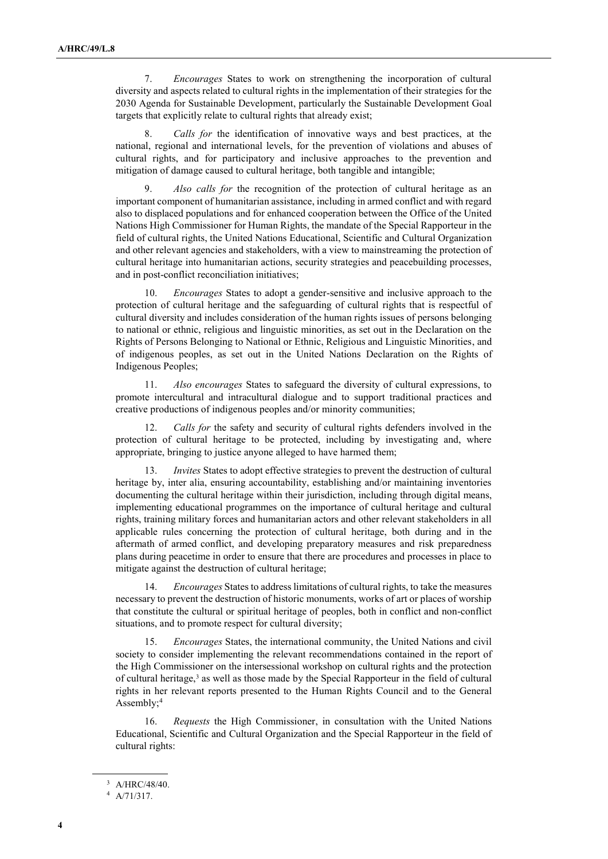7. *Encourages* States to work on strengthening the incorporation of cultural diversity and aspects related to cultural rights in the implementation of their strategies for the 2030 Agenda for Sustainable Development, particularly the Sustainable Development Goal targets that explicitly relate to cultural rights that already exist;

8. *Calls for* the identification of innovative ways and best practices, at the national, regional and international levels, for the prevention of violations and abuses of cultural rights, and for participatory and inclusive approaches to the prevention and mitigation of damage caused to cultural heritage, both tangible and intangible;

9. *Also calls for* the recognition of the protection of cultural heritage as an important component of humanitarian assistance, including in armed conflict and with regard also to displaced populations and for enhanced cooperation between the Office of the United Nations High Commissioner for Human Rights, the mandate of the Special Rapporteur in the field of cultural rights, the United Nations Educational, Scientific and Cultural Organization and other relevant agencies and stakeholders, with a view to mainstreaming the protection of cultural heritage into humanitarian actions, security strategies and peacebuilding processes, and in post-conflict reconciliation initiatives;

10. *Encourages* States to adopt a gender-sensitive and inclusive approach to the protection of cultural heritage and the safeguarding of cultural rights that is respectful of cultural diversity and includes consideration of the human rights issues of persons belonging to national or ethnic, religious and linguistic minorities, as set out in the Declaration on the Rights of Persons Belonging to National or Ethnic, Religious and Linguistic Minorities, and of indigenous peoples, as set out in the United Nations Declaration on the Rights of Indigenous Peoples;

11. *Also encourages* States to safeguard the diversity of cultural expressions, to promote intercultural and intracultural dialogue and to support traditional practices and creative productions of indigenous peoples and/or minority communities;

12. *Calls for* the safety and security of cultural rights defenders involved in the protection of cultural heritage to be protected, including by investigating and, where appropriate, bringing to justice anyone alleged to have harmed them;

13. *Invites* States to adopt effective strategies to prevent the destruction of cultural heritage by, inter alia, ensuring accountability, establishing and/or maintaining inventories documenting the cultural heritage within their jurisdiction, including through digital means, implementing educational programmes on the importance of cultural heritage and cultural rights, training military forces and humanitarian actors and other relevant stakeholders in all applicable rules concerning the protection of cultural heritage, both during and in the aftermath of armed conflict, and developing preparatory measures and risk preparedness plans during peacetime in order to ensure that there are procedures and processes in place to mitigate against the destruction of cultural heritage;

14. *Encourages* States to address limitations of cultural rights, to take the measures necessary to prevent the destruction of historic monuments, works of art or places of worship that constitute the cultural or spiritual heritage of peoples, both in conflict and non-conflict situations, and to promote respect for cultural diversity;

15. *Encourages* States, the international community, the United Nations and civil society to consider implementing the relevant recommendations contained in the report of the High Commissioner on the intersessional workshop on cultural rights and the protection of cultural heritage,<sup>3</sup> as well as those made by the Special Rapporteur in the field of cultural rights in her relevant reports presented to the Human Rights Council and to the General Assembly;<sup>4</sup>

16. *Requests* the High Commissioner, in consultation with the United Nations Educational, Scientific and Cultural Organization and the Special Rapporteur in the field of cultural rights:

<sup>3</sup> A/HRC/48/40.

<sup>4</sup> A/71/317.